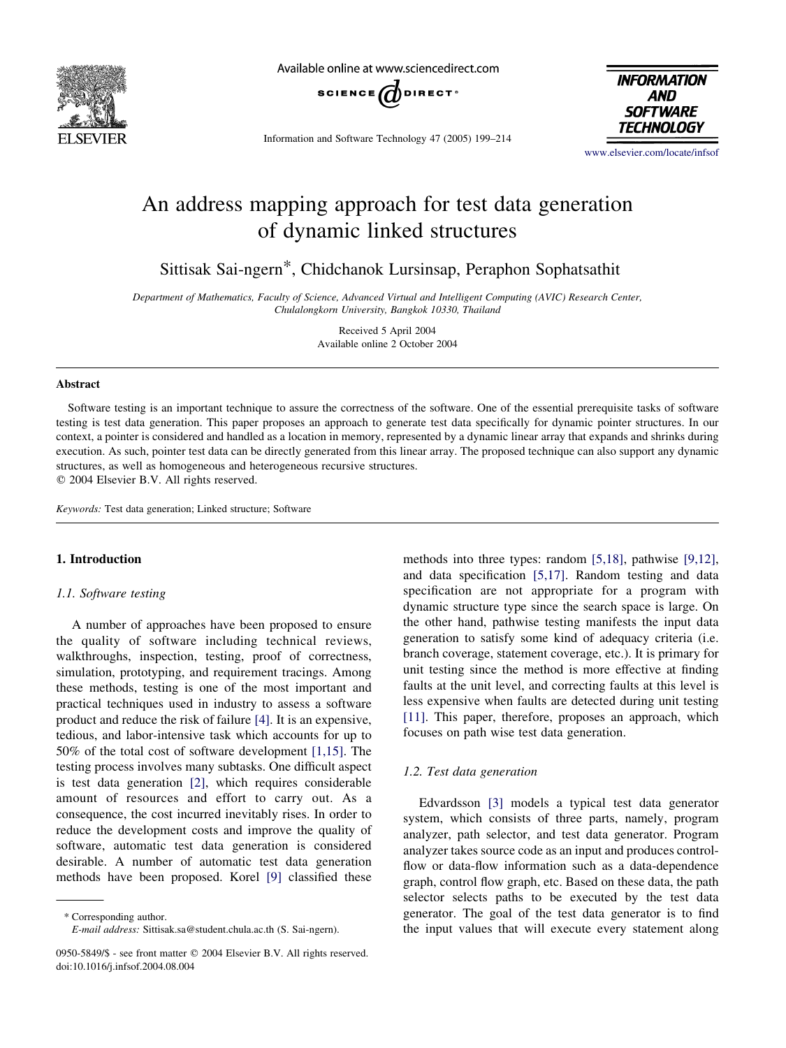

Available online at www.sciencedirect.com



**INFORMATIOI AND SOFTWARE TECHNOLOGY** 

Information and Software Technology 47 (2005) 199–214

[www.elsevier.com/locate/infsof](http://www.elsevier.com/locate/infsof)

# An address mapping approach for test data generation of dynamic linked structures

Sittisak Sai-ngern\*, Chidchanok Lursinsap, Peraphon Sophatsathit

Department of Mathematics, Faculty of Science, Advanced Virtual and Intelligent Computing (AVIC) Research Center, Chulalongkorn University, Bangkok 10330, Thailand

> Received 5 April 2004 Available online 2 October 2004

#### Abstract

Software testing is an important technique to assure the correctness of the software. One of the essential prerequisite tasks of software testing is test data generation. This paper proposes an approach to generate test data specifically for dynamic pointer structures. In our context, a pointer is considered and handled as a location in memory, represented by a dynamic linear array that expands and shrinks during execution. As such, pointer test data can be directly generated from this linear array. The proposed technique can also support any dynamic structures, as well as homogeneous and heterogeneous recursive structures.

 $Q$  2004 Elsevier B.V. All rights reserved.

Keywords: Test data generation; Linked structure; Software

## 1. Introduction

## 1.1. Software testing

A number of approaches have been proposed to ensure the quality of software including technical reviews, walkthroughs, inspection, testing, proof of correctness, simulation, prototyping, and requirement tracings. Among these methods, testing is one of the most important and practical techniques used in industry to assess a software product and reduce the risk of failure [\[4\]](#page-14-0). It is an expensive, tedious, and labor-intensive task which accounts for up to 50% of the total cost of software development [\[1,15\]](#page-14-0). The testing process involves many subtasks. One difficult aspect is test data generation [\[2\],](#page-14-0) which requires considerable amount of resources and effort to carry out. As a consequence, the cost incurred inevitably rises. In order to reduce the development costs and improve the quality of software, automatic test data generation is considered desirable. A number of automatic test data generation methods have been proposed. Korel [\[9\]](#page-15-0) classified these

\* Corresponding author. E-mail address: Sittisak.sa@student.chula.ac.th (S. Sai-ngern). methods into three types: random [\[5,18\]](#page-14-0), pathwise [\[9,12\]](#page-15-0), and data specification [\[5,17\]](#page-14-0). Random testing and data specification are not appropriate for a program with dynamic structure type since the search space is large. On the other hand, pathwise testing manifests the input data generation to satisfy some kind of adequacy criteria (i.e. branch coverage, statement coverage, etc.). It is primary for unit testing since the method is more effective at finding faults at the unit level, and correcting faults at this level is less expensive when faults are detected during unit testing [\[11\]](#page-15-0). This paper, therefore, proposes an approach, which focuses on path wise test data generation.

## 1.2. Test data generation

Edvardsson [\[3\]](#page-14-0) models a typical test data generator system, which consists of three parts, namely, program analyzer, path selector, and test data generator. Program analyzer takes source code as an input and produces controlflow or data-flow information such as a data-dependence graph, control flow graph, etc. Based on these data, the path selector selects paths to be executed by the test data generator. The goal of the test data generator is to find the input values that will execute every statement along

<sup>0950-5849/\$ -</sup> see front matter © 2004 Elsevier B.V. All rights reserved. doi:10.1016/j.infsof.2004.08.004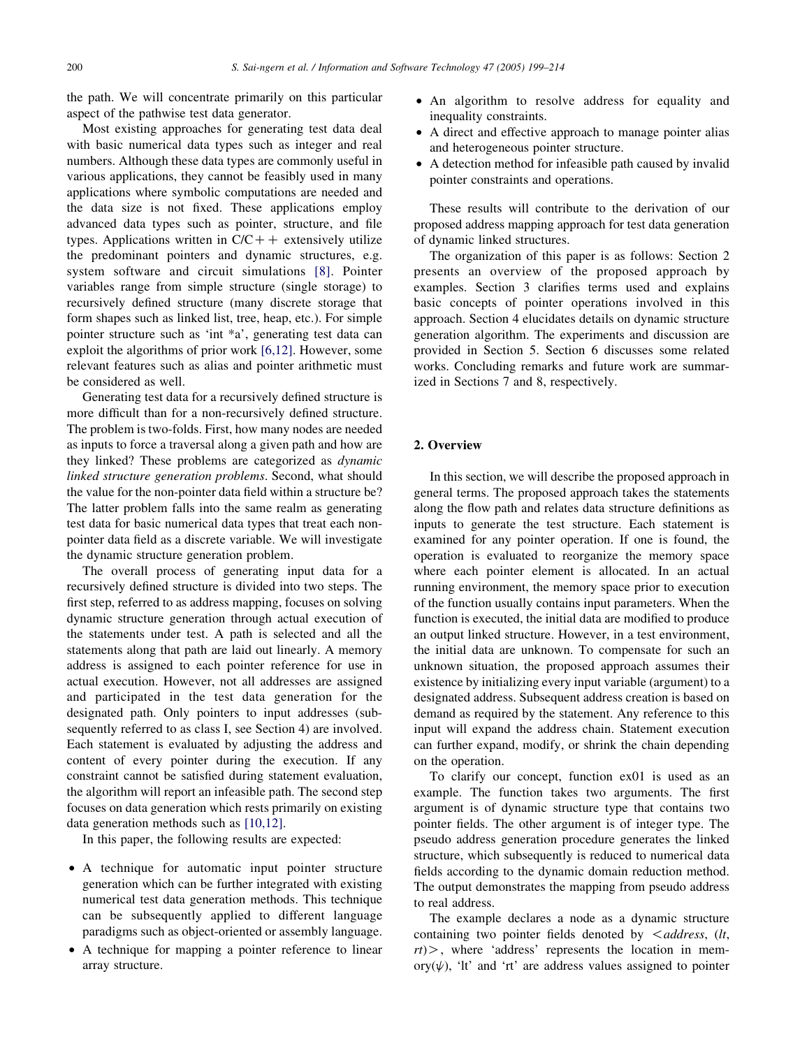the path. We will concentrate primarily on this particular aspect of the pathwise test data generator.

Most existing approaches for generating test data deal with basic numerical data types such as integer and real numbers. Although these data types are commonly useful in various applications, they cannot be feasibly used in many applications where symbolic computations are needed and the data size is not fixed. These applications employ advanced data types such as pointer, structure, and file types. Applications written in  $C/C + +$  extensively utilize the predominant pointers and dynamic structures, e.g. system software and circuit simulations [\[8\].](#page-15-0) Pointer variables range from simple structure (single storage) to recursively defined structure (many discrete storage that form shapes such as linked list, tree, heap, etc.). For simple pointer structure such as 'int \*a', generating test data can exploit the algorithms of prior work [\[6,12\].](#page-14-0) However, some relevant features such as alias and pointer arithmetic must be considered as well.

Generating test data for a recursively defined structure is more difficult than for a non-recursively defined structure. The problem is two-folds. First, how many nodes are needed as inputs to force a traversal along a given path and how are they linked? These problems are categorized as dynamic linked structure generation problems. Second, what should the value for the non-pointer data field within a structure be? The latter problem falls into the same realm as generating test data for basic numerical data types that treat each nonpointer data field as a discrete variable. We will investigate the dynamic structure generation problem.

The overall process of generating input data for a recursively defined structure is divided into two steps. The first step, referred to as address mapping, focuses on solving dynamic structure generation through actual execution of the statements under test. A path is selected and all the statements along that path are laid out linearly. A memory address is assigned to each pointer reference for use in actual execution. However, not all addresses are assigned and participated in the test data generation for the designated path. Only pointers to input addresses (subsequently referred to as class I, see Section 4) are involved. Each statement is evaluated by adjusting the address and content of every pointer during the execution. If any constraint cannot be satisfied during statement evaluation, the algorithm will report an infeasible path. The second step focuses on data generation which rests primarily on existing data generation methods such as [\[10,12\]](#page-15-0).

In this paper, the following results are expected:

- A technique for automatic input pointer structure generation which can be further integrated with existing numerical test data generation methods. This technique can be subsequently applied to different language paradigms such as object-oriented or assembly language.
- A technique for mapping a pointer reference to linear array structure.
- An algorithm to resolve address for equality and inequality constraints.
- A direct and effective approach to manage pointer alias and heterogeneous pointer structure.
- † A detection method for infeasible path caused by invalid pointer constraints and operations.

These results will contribute to the derivation of our proposed address mapping approach for test data generation of dynamic linked structures.

The organization of this paper is as follows: Section 2 presents an overview of the proposed approach by examples. Section 3 clarifies terms used and explains basic concepts of pointer operations involved in this approach. Section 4 elucidates details on dynamic structure generation algorithm. The experiments and discussion are provided in Section 5. Section 6 discusses some related works. Concluding remarks and future work are summarized in Sections 7 and 8, respectively.

# 2. Overview

In this section, we will describe the proposed approach in general terms. The proposed approach takes the statements along the flow path and relates data structure definitions as inputs to generate the test structure. Each statement is examined for any pointer operation. If one is found, the operation is evaluated to reorganize the memory space where each pointer element is allocated. In an actual running environment, the memory space prior to execution of the function usually contains input parameters. When the function is executed, the initial data are modified to produce an output linked structure. However, in a test environment, the initial data are unknown. To compensate for such an unknown situation, the proposed approach assumes their existence by initializing every input variable (argument) to a designated address. Subsequent address creation is based on demand as required by the statement. Any reference to this input will expand the address chain. Statement execution can further expand, modify, or shrink the chain depending on the operation.

To clarify our concept, function ex01 is used as an example. The function takes two arguments. The first argument is of dynamic structure type that contains two pointer fields. The other argument is of integer type. The pseudo address generation procedure generates the linked structure, which subsequently is reduced to numerical data fields according to the dynamic domain reduction method. The output demonstrates the mapping from pseudo address to real address.

The example declares a node as a dynamic structure containing two pointer fields denoted by  $\ltq$  *address*, (*lt*,  $rt$  $>$ , where 'address' represents the location in memory( $\psi$ ), 'lt' and 'rt' are address values assigned to pointer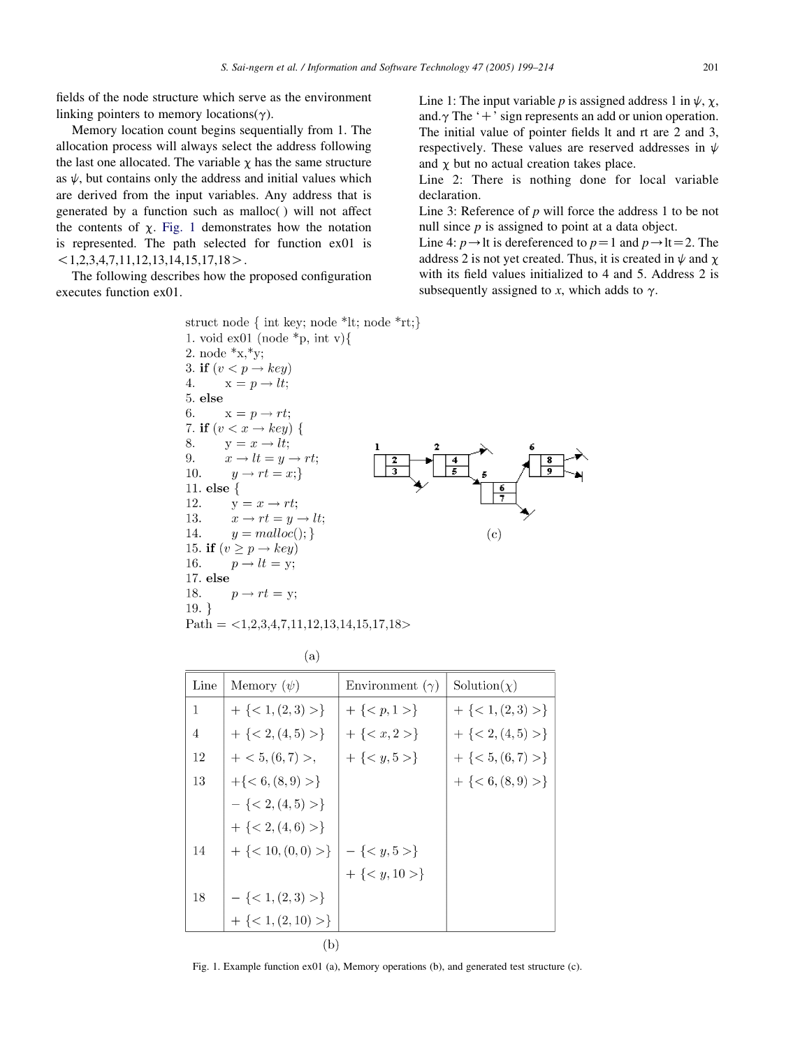fields of the node structure which serve as the environment linking pointers to memory locations  $(\gamma)$ .

Memory location count begins sequentially from 1. The allocation process will always select the address following the last one allocated. The variable  $\chi$  has the same structure as  $\psi$ , but contains only the address and initial values which are derived from the input variables. Any address that is generated by a function such as malloc( ) will not affect the contents of  $\chi$ . Fig. 1 demonstrates how the notation is represented. The path selected for function ex01 is  $1,2,3,4,7,11,12,13,14,15,17,18$ .

The following describes how the proposed configuration executes function ex01.

Line 1: The input variable p is assigned address 1 in  $\psi$ ,  $\gamma$ , and. $\gamma$  The '+' sign represents an add or union operation. The initial value of pointer fields lt and rt are 2 and 3, respectively. These values are reserved addresses in  $\psi$ and  $\gamma$  but no actual creation takes place.

Line 2: There is nothing done for local variable declaration.

Line 3: Reference of  $p$  will force the address 1 to be not null since  $p$  is assigned to point at a data object.

Line 4:  $p \rightarrow$  lt is dereferenced to  $p=1$  and  $p \rightarrow$  lt = 2. The address 2 is not yet created. Thus, it is created in  $\psi$  and  $\gamma$ with its field values initialized to 4 and 5. Address 2 is subsequently assigned to x, which adds to  $\gamma$ .



|      | (a)                     |                        |                         |
|------|-------------------------|------------------------|-------------------------|
| Line | Memory $(\psi)$         | Environment $(\gamma)$ | Solution( $\chi$ )      |
| 1    | $+ \{<1,(2,3)>\}$       | $+ \{  \}$             | $+ \{<1,(2,3)>\}$       |
| 4    | $+ \{<2,(4,5)>\}$       | $+ \{ \}$              | $+ \{<2,(4,5)>\}$       |
| 12   | $+ < 5, (6, 7)$ ,       | $+ \{  \}$             | $+ \{ <5, (6, 7) > \}$  |
| 13   | $+\{<6,(8,9)>\}$        |                        | $+ \{ < 6, (8, 9) > \}$ |
|      | $- \{ < 2, (4, 5) > \}$ |                        |                         |
|      | $+ \{<2,(4,6)>\}$       |                        |                         |
| 14   | $+ \{ <10, (0, 0) > \}$ | $- \{ \}$              |                         |
|      |                         | $+ \{ \}$              |                         |
| 18   | $- \{ <1, (2,3) > \}$   |                        |                         |
|      | $+ \{<1, (2, 10)>\}$    |                        |                         |



 $(b)$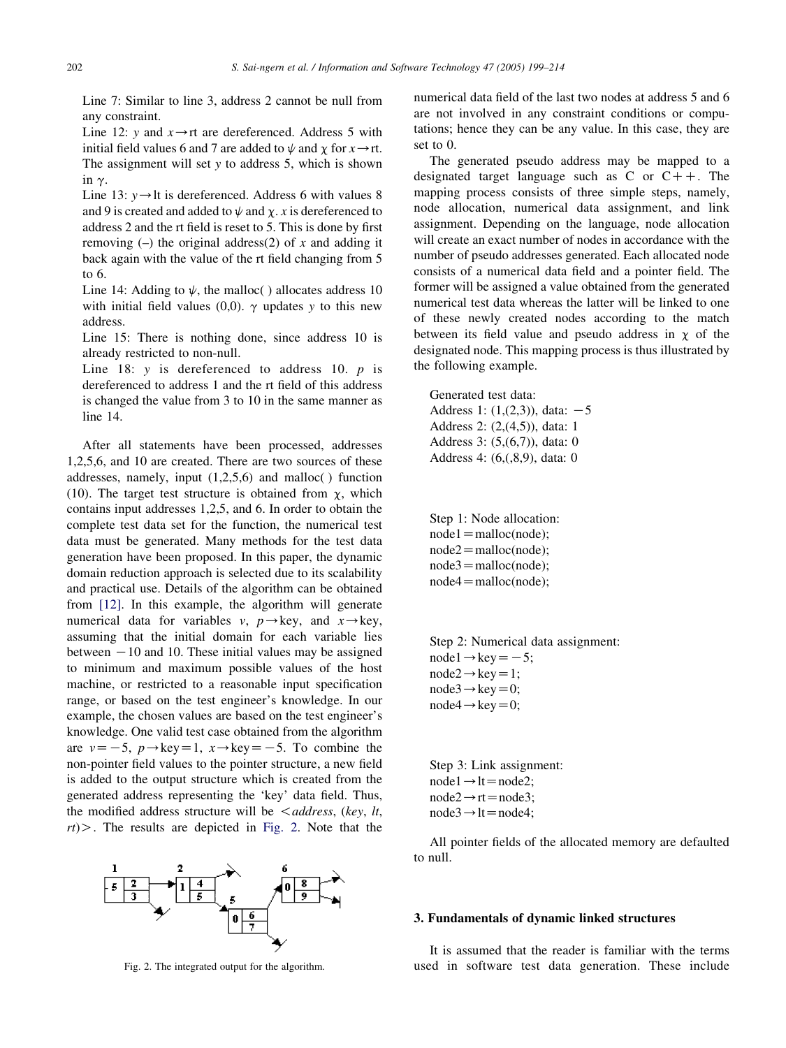Line 7: Similar to line 3, address 2 cannot be null from any constraint.

Line 12: y and  $x \rightarrow r t$  are dereferenced. Address 5 with initial field values 6 and 7 are added to  $\psi$  and  $\chi$  for  $x \rightarrow r$ rt. The assignment will set y to address 5, which is shown in  $\gamma$ .

Line 13:  $v \rightarrow$  It is dereferenced. Address 6 with values 8 and 9 is created and added to  $\psi$  and  $\chi$ . x is dereferenced to address 2 and the rt field is reset to 5. This is done by first removing  $(-)$  the original address $(2)$  of x and adding it back again with the value of the rt field changing from 5 to 6.

Line 14: Adding to  $\psi$ , the malloc( ) allocates address 10 with initial field values (0,0).  $\gamma$  updates y to this new address.

Line 15: There is nothing done, since address 10 is already restricted to non-null.

Line 18:  $y$  is dereferenced to address 10.  $p$  is dereferenced to address 1 and the rt field of this address is changed the value from 3 to 10 in the same manner as line 14.

After all statements have been processed, addresses 1,2,5,6, and 10 are created. There are two sources of these addresses, namely, input (1,2,5,6) and malloc( ) function (10). The target test structure is obtained from  $\chi$ , which contains input addresses 1,2,5, and 6. In order to obtain the complete test data set for the function, the numerical test data must be generated. Many methods for the test data generation have been proposed. In this paper, the dynamic domain reduction approach is selected due to its scalability and practical use. Details of the algorithm can be obtained from [\[12\].](#page-15-0) In this example, the algorithm will generate numerical data for variables v,  $p \rightarrow \text{key}$ , and  $x \rightarrow \text{key}$ , assuming that the initial domain for each variable lies between  $-10$  and 10. These initial values may be assigned to minimum and maximum possible values of the host machine, or restricted to a reasonable input specification range, or based on the test engineer's knowledge. In our example, the chosen values are based on the test engineer's knowledge. One valid test case obtained from the algorithm are  $v=-5$ ,  $p\rightarrow$ key=1,  $x\rightarrow$ key=-5. To combine the non-pointer field values to the pointer structure, a new field is added to the output structure which is created from the generated address representing the 'key' data field. Thus, the modified address structure will be  $\ltq$  address, (key, lt,  $rt$  $>$ . The results are depicted in Fig. 2. Note that the



numerical data field of the last two nodes at address 5 and 6 are not involved in any constraint conditions or computations; hence they can be any value. In this case, they are set to 0.

The generated pseudo address may be mapped to a designated target language such as C or  $C++$ . The mapping process consists of three simple steps, namely, node allocation, numerical data assignment, and link assignment. Depending on the language, node allocation will create an exact number of nodes in accordance with the number of pseudo addresses generated. Each allocated node consists of a numerical data field and a pointer field. The former will be assigned a value obtained from the generated numerical test data whereas the latter will be linked to one of these newly created nodes according to the match between its field value and pseudo address in  $\chi$  of the designated node. This mapping process is thus illustrated by the following example.

Generated test data: Address 1:  $(1,(2,3))$ , data: -5 Address 2: (2,(4,5)), data: 1 Address 3: (5,(6,7)), data: 0 Address 4: (6,(,8,9), data: 0

```
Step 1: Node allocation:
node1 = malloc(node);node2 = male(node);node3 = malloc(node);node4 = malloc(node);
```
Step 2: Numerical data assignment:  $node1 \rightarrow key = -5;$  $node2 \rightarrow key=1$ ;  $node3 \rightarrow key=0;$  $node4 \rightarrow key=0;$ 

Step 3: Link assignment:  $node1 \rightarrow It = node2;$  $node2 \rightarrow rt = node3;$  $node3 \rightarrow It = node4;$ 

All pointer fields of the allocated memory are defaulted to null.

#### 3. Fundamentals of dynamic linked structures

It is assumed that the reader is familiar with the terms Fig. 2. The integrated output for the algorithm. used in software test data generation. These include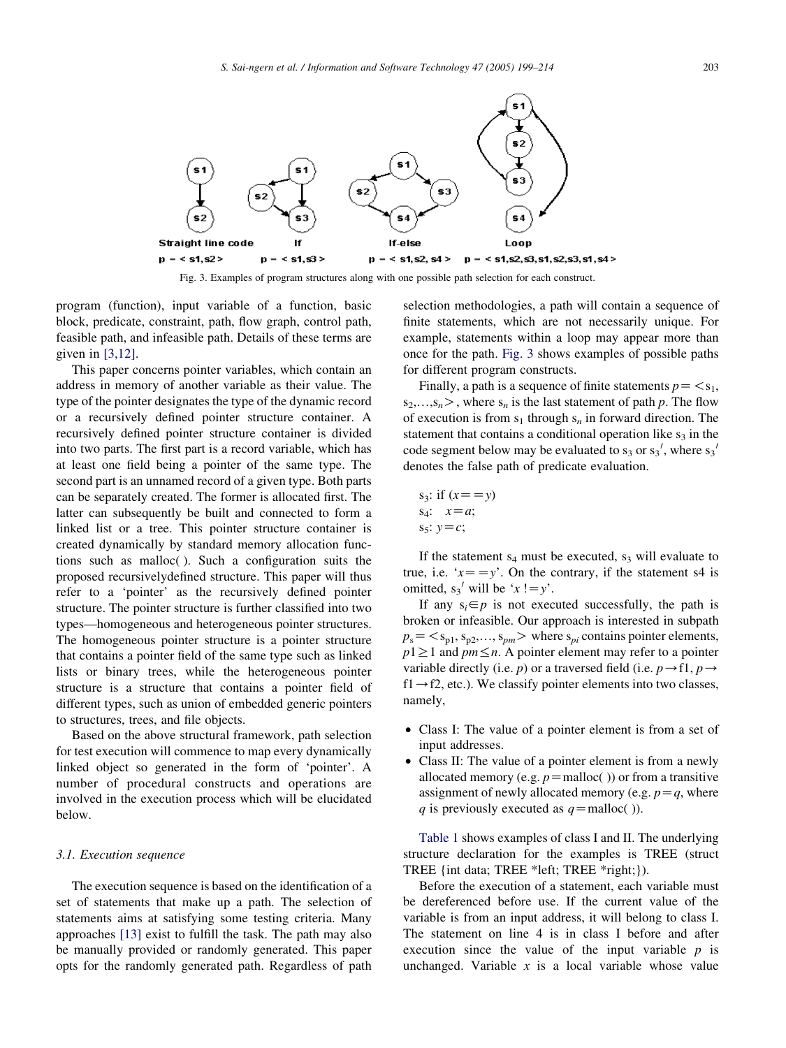

Fig. 3. Examples of program structures along with one possible path selection for each construct.

program (function), input variable of a function, basic block, predicate, constraint, path, flow graph, control path, feasible path, and infeasible path. Details of these terms are given in  $[3,12]$ .

This paper concerns pointer variables, which contain an address in memory of another variable as their value. The type of the pointer designates the type of the dynamic record or a recursively defined pointer structure container. A recursively defined pointer structure container is divided into two parts. The first part is a record variable, which has at least one field being a pointer of the same type. The second part is an unnamed record of a given type. Both parts can be separately created. The former is allocated first. The latter can subsequently be built and connected to form a linked list or a tree. This pointer structure container is created dynamically by standard memory allocation functions such as malloc( ). Such a configuration suits the proposed recursivelydefined structure. This paper will thus refer to a 'pointer' as the recursively defined pointer structure. The pointer structure is further classified into two types—homogeneous and heterogeneous pointer structures. The homogeneous pointer structure is a pointer structure that contains a pointer field of the same type such as linked lists or binary trees, while the heterogeneous pointer structure is a structure that contains a pointer field of different types, such as union of embedded generic pointers to structures, trees, and file objects.

Based on the above structural framework, path selection for test execution will commence to map every dynamically linked object so generated in the form of 'pointer'. A number of procedural constructs and operations are involved in the execution process which will be elucidated below.

#### 3.1. Execution sequence

The execution sequence is based on the identification of a set of statements that make up a path. The selection of statements aims at satisfying some testing criteria. Many approaches [\[13\]](#page-15-0) exist to fulfill the task. The path may also be manually provided or randomly generated. This paper opts for the randomly generated path. Regardless of path

selection methodologies, a path will contain a sequence of finite statements, which are not necessarily unique. For example, statements within a loop may appear more than once for the path. Fig. 3 shows examples of possible paths for different program constructs.

Finally, a path is a sequence of finite statements  $p = \langle s_1, \rangle$  $s_2,...,s_n>$ , where  $s_n$  is the last statement of path p. The flow of execution is from  $s_1$  through  $s_n$  in forward direction. The statement that contains a conditional operation like  $s<sub>3</sub>$  in the code segment below may be evaluated to  $s_3$  or  $s_3'$ , where  $s_3'$ denotes the false path of predicate evaluation.

s<sub>3</sub>: if  $(x = y)$  $s_4: x=a;$ s<sub>5</sub>:  $y = c$ ;

If the statement  $s_4$  must be executed,  $s_3$  will evaluate to true, i.e. ' $x = y'$ . On the contrary, if the statement s4 is omitted,  $s_3'$  will be 'x != y'.

If any  $s_i \in p$  is not executed successfully, the path is broken or infeasible. Our approach is interested in subpath  $p_s = \langle s_{p1}, s_{p2}, \ldots, s_{pm}\rangle$  where  $s_{pi}$  contains pointer elements,  $p1 \geq 1$  and  $pm \leq n$ . A pointer element may refer to a pointer variable directly (i.e. p) or a traversed field (i.e.  $p \rightarrow f1$ ,  $p \rightarrow$  $f1 \rightarrow f2$ , etc.). We classify pointer elements into two classes, namely,

- Class I: The value of a pointer element is from a set of input addresses.
- Class II: The value of a pointer element is from a newly allocated memory (e.g.  $p = \text{malloc}( )$ ) or from a transitive assignment of newly allocated memory (e.g.  $p=q$ , where q is previously executed as  $q = \text{malloc}( )$ ).

[Table 1](#page-5-0) shows examples of class I and II. The underlying structure declaration for the examples is TREE (struct TREE {int data; TREE \*left; TREE \*right;}).

Before the execution of a statement, each variable must be dereferenced before use. If the current value of the variable is from an input address, it will belong to class I. The statement on line 4 is in class I before and after execution since the value of the input variable  $p$  is unchanged. Variable  $x$  is a local variable whose value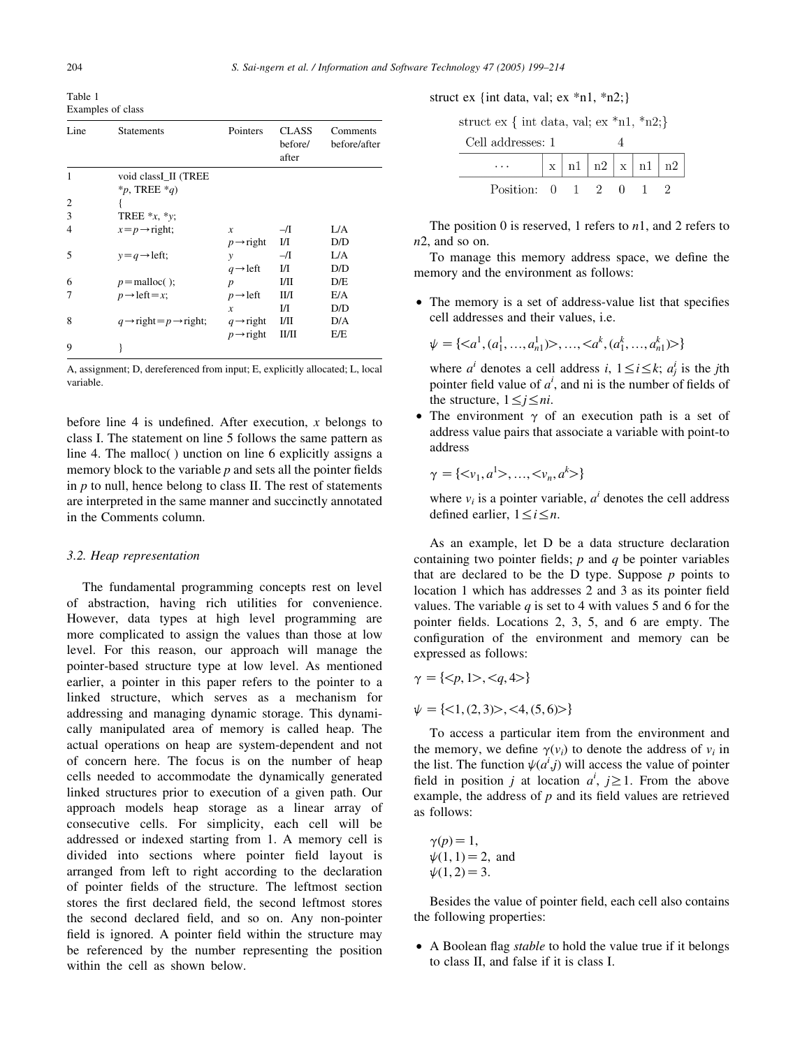<span id="page-5-0"></span>Table 1 Examples of class

| Line           | <b>Statements</b>                              | Pointers              | <b>CLASS</b><br>before/<br>after | Comments<br>before/after |
|----------------|------------------------------------------------|-----------------------|----------------------------------|--------------------------|
| 1              | void classI_II (TREE<br>$*_p$ , TREE $*_q$ )   |                       |                                  |                          |
| 2              |                                                |                       |                                  |                          |
| 3              | TREE $*_x$ , $*_y$ ;                           |                       |                                  |                          |
| $\overline{4}$ | $x=p \rightarrow$ right;                       | $\boldsymbol{x}$      | $-I$                             | L/A                      |
|                |                                                | $p \rightarrow$ right | $\overline{M}$                   | D/D                      |
| 5              | $y = q \rightarrow$ left;                      | $\mathcal{V}$         | $-I$                             | L/A                      |
|                |                                                | $q \rightarrow$ left  | И                                | D/D                      |
| 6              | $p =$ malloc();                                | $\boldsymbol{p}$      | ИΙ                               | D/E                      |
| 7              | $p \rightarrow$ left = x;                      | $p \rightarrow$ left  | II/I                             | E/A                      |
|                |                                                | $\boldsymbol{x}$      | И                                | D/D                      |
| 8              | $q \rightarrow$ right = $p \rightarrow$ right; | $q \rightarrow$ right | 1/11                             | D/A                      |
|                |                                                | $p \rightarrow$ right | ШЛІ                              | E/E                      |
| 9              |                                                |                       |                                  |                          |

A, assignment; D, dereferenced from input; E, explicitly allocated; L, local variable.

before line 4 is undefined. After execution,  $x$  belongs to class I. The statement on line 5 follows the same pattern as line 4. The malloc( ) unction on line 6 explicitly assigns a memory block to the variable  $p$  and sets all the pointer fields in  $p$  to null, hence belong to class II. The rest of statements are interpreted in the same manner and succinctly annotated in the Comments column.

#### 3.2. Heap representation

The fundamental programming concepts rest on level of abstraction, having rich utilities for convenience. However, data types at high level programming are more complicated to assign the values than those at low level. For this reason, our approach will manage the pointer-based structure type at low level. As mentioned earlier, a pointer in this paper refers to the pointer to a linked structure, which serves as a mechanism for addressing and managing dynamic storage. This dynamically manipulated area of memory is called heap. The actual operations on heap are system-dependent and not of concern here. The focus is on the number of heap cells needed to accommodate the dynamically generated linked structures prior to execution of a given path. Our approach models heap storage as a linear array of consecutive cells. For simplicity, each cell will be addressed or indexed starting from 1. A memory cell is divided into sections where pointer field layout is arranged from left to right according to the declaration of pointer fields of the structure. The leftmost section stores the first declared field, the second leftmost stores the second declared field, and so on. Any non-pointer field is ignored. A pointer field within the structure may be referenced by the number representing the position within the cell as shown below.

struct ex {int data, val; ex \*n1, \*n2;}

struct ex { int data, val: ex  $*n1$ ,  $*n2$ ;}

| Cell addresses: 1 |  |  |  |                                                         |  |
|-------------------|--|--|--|---------------------------------------------------------|--|
| $\cdot$ .         |  |  |  | $\lfloor n1 \rfloor n2 \lfloor x \rfloor n1 \rfloor n2$ |  |
| Position: 0       |  |  |  |                                                         |  |

The position 0 is reserved, 1 refers to  $n1$ , and 2 refers to  $n^2$ , and so on.

To manage this memory address space, we define the memory and the environment as follows:

• The memory is a set of address-value list that specifies cell addresses and their values, i.e.

$$
\psi = \{ \langle a^1, (a_1^1, \ldots, a_n^1) \rangle, \ldots, \langle a^k, (a_1^k, \ldots, a_n^k) \rangle \}
$$

where  $a^i$  denotes a cell address i,  $1 \le i \le k$ ;  $a_j^i$  is the jth pointer field value of  $a^i$ , and ni is the number of fields of the structure,  $1 \leq j \leq ni$ .

The environment  $\gamma$  of an execution path is a set of address value pairs that associate a variable with point-to address

$$
\gamma = \{ \langle v_1, a^1 \rangle, ..., \langle v_n, a^k \rangle \}
$$

where  $v_i$  is a pointer variable,  $a^i$  denotes the cell address defined earlier,  $1 \le i \le n$ .

As an example, let D be a data structure declaration containing two pointer fields;  $p$  and  $q$  be pointer variables that are declared to be the D type. Suppose  $p$  points to location 1 which has addresses 2 and 3 as its pointer field values. The variable  $q$  is set to 4 with values 5 and 6 for the pointer fields. Locations 2, 3, 5, and 6 are empty. The configuration of the environment and memory can be expressed as follows:

$$
\gamma = \{ \leq p, 1>, \leq q, 4 \geq \}
$$

$$
\psi = \{<1, (2, 3)>, <4, (5, 6)>\}
$$

To access a particular item from the environment and the memory, we define  $\gamma(v_i)$  to denote the address of  $v_i$  in the list. The function  $\psi(a^i, j)$  will access the value of pointer field in position *j* at location  $a^i$ ,  $j \ge 1$ . From the above example, the address of  $p$  and its field values are retrieved as follows:

$$
\gamma(p) = 1,
$$
  
\n $\psi(1, 1) = 2,$  and  
\n $\psi(1, 2) = 3.$ 

Besides the value of pointer field, each cell also contains the following properties:

 $\bullet$  A Boolean flag *stable* to hold the value true if it belongs to class II, and false if it is class I.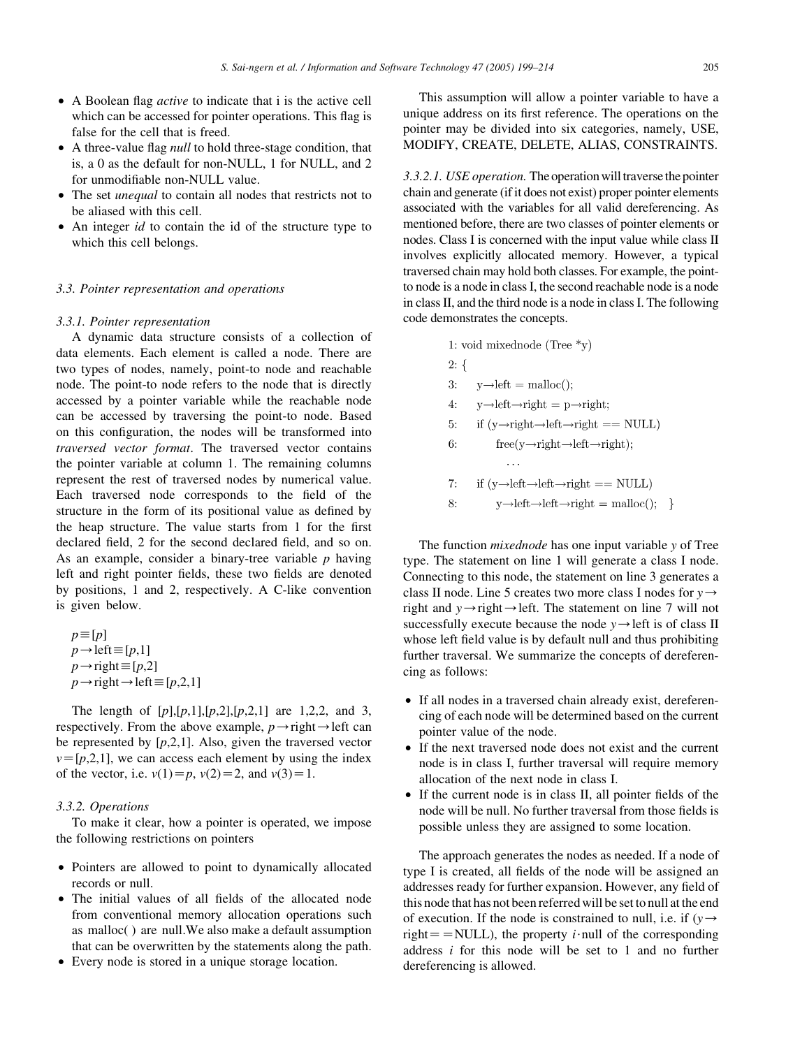- A Boolean flag *active* to indicate that i is the active cell which can be accessed for pointer operations. This flag is false for the cell that is freed.
- $\bullet$  A three-value flag *null* to hold three-stage condition, that is, a 0 as the default for non-NULL, 1 for NULL, and 2 for unmodifiable non-NULL value.
- The set *unequal* to contain all nodes that restricts not to be aliased with this cell.
- $\bullet$  An integer id to contain the id of the structure type to which this cell belongs.

#### 3.3. Pointer representation and operations

#### 3.3.1. Pointer representation

A dynamic data structure consists of a collection of data elements. Each element is called a node. There are two types of nodes, namely, point-to node and reachable node. The point-to node refers to the node that is directly accessed by a pointer variable while the reachable node can be accessed by traversing the point-to node. Based on this configuration, the nodes will be transformed into traversed vector format. The traversed vector contains the pointer variable at column 1. The remaining columns represent the rest of traversed nodes by numerical value. Each traversed node corresponds to the field of the structure in the form of its positional value as defined by the heap structure. The value starts from 1 for the first declared field, 2 for the second declared field, and so on. As an example, consider a binary-tree variable  $p$  having left and right pointer fields, these two fields are denoted by positions, 1 and 2, respectively. A C-like convention is given below.

$$
p \equiv [p]
$$
  
\n
$$
p \rightarrow left \equiv [p,1]
$$
  
\n
$$
p \rightarrow right \equiv [p,2]
$$
  
\n
$$
p \rightarrow right \rightarrow left \equiv [p,2,1]
$$

The length of  $[p],[p,1],[p,2],[p,2,1]$  are 1,2,2, and 3, respectively. From the above example,  $p \rightarrow$ right $\rightarrow$ left can be represented by  $[p,2,1]$ . Also, given the traversed vector  $v=[p,2,1]$ , we can access each element by using the index of the vector, i.e.  $v(1)=p$ ,  $v(2)=2$ , and  $v(3)=1$ .

#### 3.3.2. Operations

To make it clear, how a pointer is operated, we impose the following restrictions on pointers

- † Pointers are allowed to point to dynamically allocated records or null.
- The initial values of all fields of the allocated node from conventional memory allocation operations such as malloc( ) are null.We also make a default assumption that can be overwritten by the statements along the path.
- Every node is stored in a unique storage location.

This assumption will allow a pointer variable to have a unique address on its first reference. The operations on the pointer may be divided into six categories, namely, USE, MODIFY, CREATE, DELETE, ALIAS, CONSTRAINTS.

3.3.2.1. USE operation. The operation will traverse the pointer chain and generate (if it does not exist) proper pointer elements associated with the variables for all valid dereferencing. As mentioned before, there are two classes of pointer elements or nodes. Class I is concerned with the input value while class II involves explicitly allocated memory. However, a typical traversed chain may hold both classes. For example, the pointto node is a node in class I, the second reachable node is a node in class II, and the third node is a node in class I. The following code demonstrates the concepts.

\n- 1: void mixednode (Tree 
$$
*_y
$$
)
\n- 2: {
\n- 3:  $y \rightarrow left = \text{malloc}()$ ;\n- 4:  $y \rightarrow left \rightarrow right = p \rightarrow right$ ;\n- 5: if  $(y \rightarrow right \rightarrow left \rightarrow right = mULL)$
\n- 6:  $free(y \rightarrow right \rightarrow left \rightarrow right);$
\n- 7: if  $(y \rightarrow left \rightarrow left \rightarrow right = mulloc);$
\n- 8:  $y \rightarrow left \rightarrow left \rightarrow right = malloc();$
\n

The function *mixednode* has one input variable y of Tree type. The statement on line 1 will generate a class I node. Connecting to this node, the statement on line 3 generates a class II node. Line 5 creates two more class I nodes for  $y \rightarrow$ right and  $y \rightarrow$ right $\rightarrow$  left. The statement on line 7 will not successfully execute because the node  $y \rightarrow$  left is of class II whose left field value is by default null and thus prohibiting further traversal. We summarize the concepts of dereferencing as follows:

- If all nodes in a traversed chain already exist, dereferencing of each node will be determined based on the current pointer value of the node.
- If the next traversed node does not exist and the current node is in class I, further traversal will require memory allocation of the next node in class I.
- If the current node is in class II, all pointer fields of the node will be null. No further traversal from those fields is possible unless they are assigned to some location.

The approach generates the nodes as needed. If a node of type I is created, all fields of the node will be assigned an addresses ready for further expansion. However, any field of this node that has not been referred will be set to null at the end of execution. If the node is constrained to null, i.e. if  $(y \rightarrow$ right =  $=$  NULL), the property *i* $\cdot$  null of the corresponding address i for this node will be set to 1 and no further dereferencing is allowed.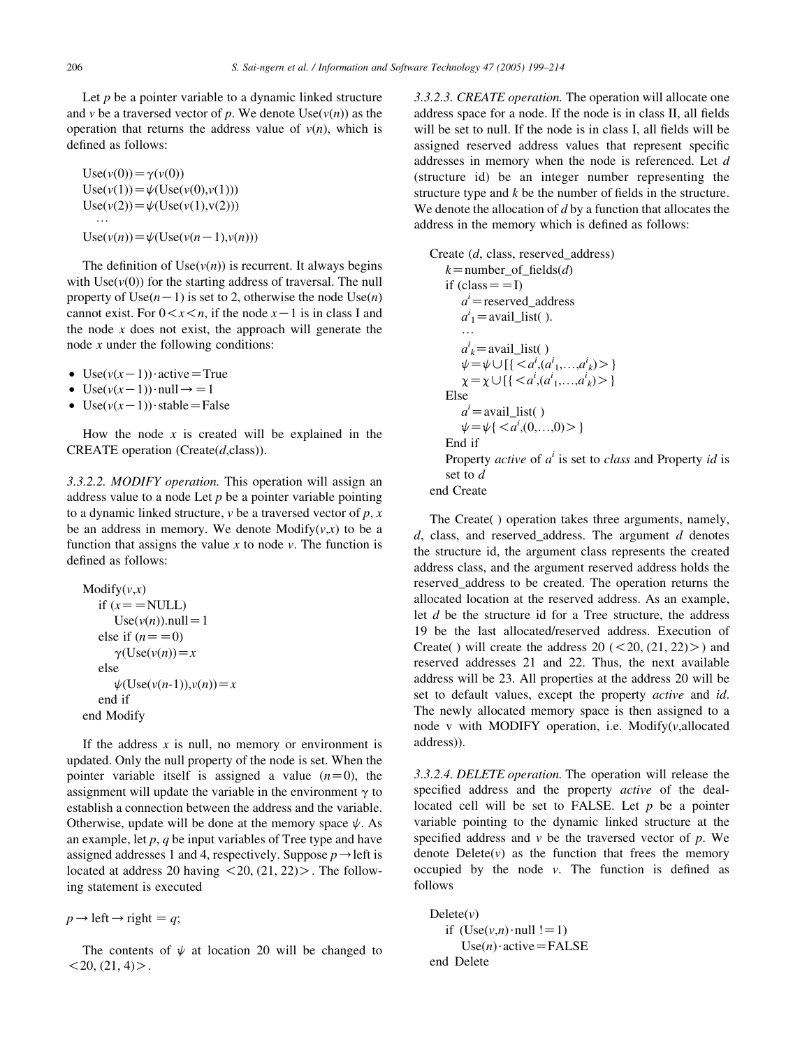Let  $p$  be a pointer variable to a dynamic linked structure and v be a traversed vector of p. We denote  $Use(v(n))$  as the operation that returns the address value of  $v(n)$ , which is defined as follows:

Use(v(0)) = 
$$
\gamma(v(0))
$$
  
\nUse(v(1)) =  $\psi$ (Use(v(0),v(1)))  
\nUse(v(2)) =  $\psi$ (Use(v(1),v(2)))  
\n...  
\nUse(v(n)) =  $\psi$ (Use(v(n-1),v(n)))

The definition of  $Use(v(n))$  is recurrent. It always begins with  $Use(v(0))$  for the starting address of traversal. The null property of  $Use(n-1)$  is set to 2, otherwise the node  $Use(n)$ cannot exist. For  $0 \lt x \lt n$ , if the node  $x-1$  is in class I and the node  $x$  does not exist, the approach will generate the node  $x$  under the following conditions:

- Use( $v(x-1)$ ) active=True
- Use( $v(x-1)$ ) $\cdot$ null $\rightarrow$  = 1
- Use( $v(x-1)$ ) · stable = False

How the node  $x$  is created will be explained in the CREATE operation (Create $(d, class)$ ).

3.3.2.2. MODIFY operation. This operation will assign an address value to a node Let  $p$  be a pointer variable pointing to a dynamic linked structure,  $v$  be a traversed vector of  $p, x$ be an address in memory. We denote Modify( $v, x$ ) to be a function that assigns the value x to node v. The function is defined as follows:

Modify(v,x)

\nif 
$$
(x == NULL)
$$

\nUse(v(n)).null = 1

\nelse if  $(n == 0)$ 

\n $\gamma(\text{Use}(v(n)) = x)$ 

\nelse

\n $\psi(\text{Use}(v(n-1)), v(n)) = x$ 

\nend if

\nend Modify

If the address  $x$  is null, no memory or environment is updated. Only the null property of the node is set. When the pointer variable itself is assigned a value  $(n=0)$ , the assignment will update the variable in the environment  $\gamma$  to establish a connection between the address and the variable. Otherwise, update will be done at the memory space  $\psi$ . As an example, let  $p$ ,  $q$  be input variables of Tree type and have assigned addresses 1 and 4, respectively. Suppose  $p \rightarrow$  left is located at address 20 having  $\langle 20, (21, 22) \rangle$ . The following statement is executed

 $p \rightarrow$  left  $\rightarrow$  right = q;

The contents of  $\psi$  at location 20 will be changed to  $<$  20, (21, 4) $>$ .

3.3.2.3. CREATE operation. The operation will allocate one address space for a node. If the node is in class II, all fields will be set to null. If the node is in class I, all fields will be assigned reserved address values that represent specific addresses in memory when the node is referenced. Let d (structure id) be an integer number representing the structure type and  $k$  be the number of fields in the structure. We denote the allocation of  $d$  by a function that allocates the address in the memory which is defined as follows:

```
Create (d, class, reserved_address)
   k= number of fields(d)
   if (class=-I)a^i=reserved_address
        a^i_1 = avail_list().
        . . .
        a^i_{\ k}= avail_list()
        \psi = \psi \cup [\{ <a^i, (a^i_1, \ldots, a^i_k) > \}\chi = \chi \cup [{\{ < a^i, (a^i_1, \ldots, a^i_k) \geq \}}]Else
        a^i= avail_list()
        \psi = \psi \{ \langle a^i, (0, \ldots, 0) \rangle \}End if
   Property active of a^i is set to class and Property id is
   set to d
end Create
```
The Create( ) operation takes three arguments, namely,  $d$ , class, and reserved\_address. The argument  $d$  denotes the structure id, the argument class represents the created address class, and the argument reserved address holds the reserved\_address to be created. The operation returns the allocated location at the reserved address. As an example, let  $d$  be the structure id for a Tree structure, the address 19 be the last allocated/reserved address. Execution of Create() will create the address  $20 \, (\leq 20, (21, 22)$  and reserved addresses 21 and 22. Thus, the next available address will be 23. All properties at the address 20 will be set to default values, except the property *active* and *id*. The newly allocated memory space is then assigned to a node v with MODIFY operation, i.e. Modify $(v,$ allocated address)).

3.3.2.4. DELETE operation. The operation will release the specified address and the property active of the deallocated cell will be set to FALSE. Let  $p$  be a pointer variable pointing to the dynamic linked structure at the specified address and  $v$  be the traversed vector of  $p$ . We denote  $Delete(v)$  as the function that frees the memory occupied by the node  $v$ . The function is defined as follows

 $Delete(v)$ if  $(Use(v,n) \cdot null != 1)$  $Use(n) \cdot active = FALSE$ end Delete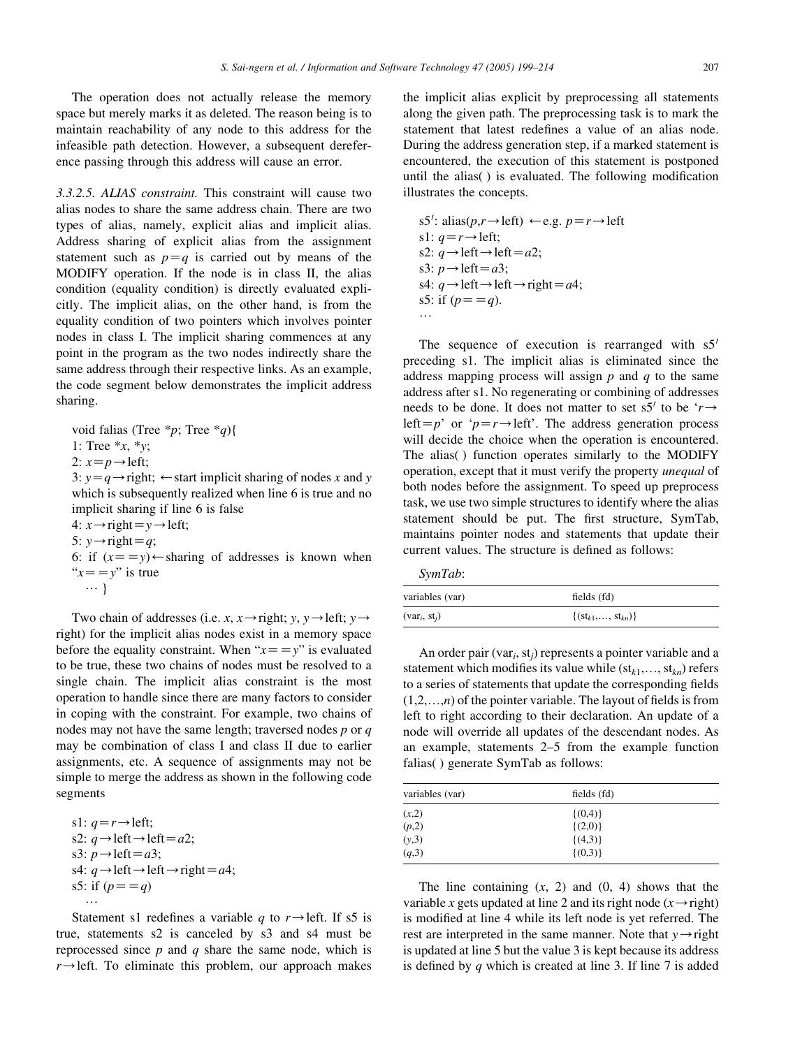The operation does not actually release the memory space but merely marks it as deleted. The reason being is to maintain reachability of any node to this address for the infeasible path detection. However, a subsequent dereference passing through this address will cause an error.

3.3.2.5. ALIAS constraint. This constraint will cause two alias nodes to share the same address chain. There are two types of alias, namely, explicit alias and implicit alias. Address sharing of explicit alias from the assignment statement such as  $p=q$  is carried out by means of the MODIFY operation. If the node is in class II, the alias condition (equality condition) is directly evaluated explicitly. The implicit alias, on the other hand, is from the equality condition of two pointers which involves pointer nodes in class I. The implicit sharing commences at any point in the program as the two nodes indirectly share the same address through their respective links. As an example, the code segment below demonstrates the implicit address sharing.

void falias (Tree  $*_{p}$ ; Tree  $*_{q}$ ){ 1: Tree  $x, xy$ ; 2:  $x=p\rightarrow$  left; 3:  $y = q \rightarrow$  right;  $\leftarrow$  start implicit sharing of nodes x and y which is subsequently realized when line 6 is true and no implicit sharing if line 6 is false 4:  $x \rightarrow$  right  $=y \rightarrow$  left; 5:  $y \rightarrow$  right = q; 6: if  $(x = y) \leftarrow$  sharing of addresses is known when " $x = y$ " is true  $\cdots$ }

Two chain of addresses (i.e. x,  $x \rightarrow$  right; y,  $y \rightarrow$  left;  $y \rightarrow$ right) for the implicit alias nodes exist in a memory space before the equality constraint. When " $x = y$ " is evaluated to be true, these two chains of nodes must be resolved to a single chain. The implicit alias constraint is the most operation to handle since there are many factors to consider in coping with the constraint. For example, two chains of nodes may not have the same length; traversed nodes  $p$  or  $q$ may be combination of class I and class II due to earlier assignments, etc. A sequence of assignments may not be simple to merge the address as shown in the following code segments

s1: 
$$
q=r \rightarrow
$$
 left;  
\ns2:  $q \rightarrow$  left $\rightarrow$  left= a2;  
\ns3:  $p \rightarrow$  left= a3;  
\ns4:  $q \rightarrow$  left $\rightarrow$  left $\rightarrow$  right= a4;  
\ns5: if  $(p=-q)$ 

Statement s1 redefines a variable q to  $r \rightarrow$  left. If s5 is true, statements s2 is canceled by s3 and s4 must be reprocessed since  $p$  and  $q$  share the same node, which is  $r \rightarrow$ left. To eliminate this problem, our approach makes

the implicit alias explicit by preprocessing all statements along the given path. The preprocessing task is to mark the statement that latest redefines a value of an alias node. During the address generation step, if a marked statement is encountered, the execution of this statement is postponed until the alias( ) is evaluated. The following modification illustrates the concepts.

s5': alias( $p, r \rightarrow$ left)  $\leftarrow$ e.g.  $p = r \rightarrow$ left s1:  $q=r\rightarrow$  left; s2:  $q \rightarrow$  left  $\rightarrow$  left = a2; s3:  $p \rightarrow$  left =  $a3$ ; s4:  $q \rightarrow$  left  $\rightarrow$  left  $\rightarrow$  right =  $a$ 4; s5: if  $(p=-q)$ . . . .

The sequence of execution is rearranged with  $s5<sup>'</sup>$ preceding s1. The implicit alias is eliminated since the address mapping process will assign  $p$  and  $q$  to the same address after s1. No regenerating or combining of addresses needs to be done. It does not matter to set s5<sup>'</sup> to be ' $r \rightarrow$ left=p' or 'p=r $\rightarrow$ left'. The address generation process will decide the choice when the operation is encountered. The alias( ) function operates similarly to the MODIFY operation, except that it must verify the property unequal of both nodes before the assignment. To speed up preprocess task, we use two simple structures to identify where the alias statement should be put. The first structure, SymTab, maintains pointer nodes and statements that update their current values. The structure is defined as follows:

| SymTab: |  |
|---------|--|
|         |  |

| variables (var)               | fields $(fd)$             |
|-------------------------------|---------------------------|
| $(\text{var}_i, \text{st}_i)$ | $\{(st_{k1},, st_{kn})\}$ |

An order pair (var<sub>i</sub>, st<sub>i</sub>) represents a pointer variable and a statement which modifies its value while  $(st_{k1},..., st_{kn})$  refers to a series of statements that update the corresponding fields  $(1,2,...,n)$  of the pointer variable. The layout of fields is from left to right according to their declaration. An update of a node will override all updates of the descendant nodes. As an example, statements 2–5 from the example function falias( ) generate SymTab as follows:

| variables (var) | fields (fd)  |  |
|-----------------|--------------|--|
| (x,2)           | $\{(0,4)\}\$ |  |
| (p,2)           | $\{(2,0)\}\$ |  |
| (y, 3)          | $\{(4,3)\}\$ |  |
| (q,3)           | $\{(0,3)\}\$ |  |

The line containing  $(x, 2)$  and  $(0, 4)$  shows that the variable x gets updated at line 2 and its right node ( $x \rightarrow$ right) is modified at line 4 while its left node is yet referred. The rest are interpreted in the same manner. Note that  $y \rightarrow$  right is updated at line 5 but the value 3 is kept because its address is defined by  $q$  which is created at line 3. If line 7 is added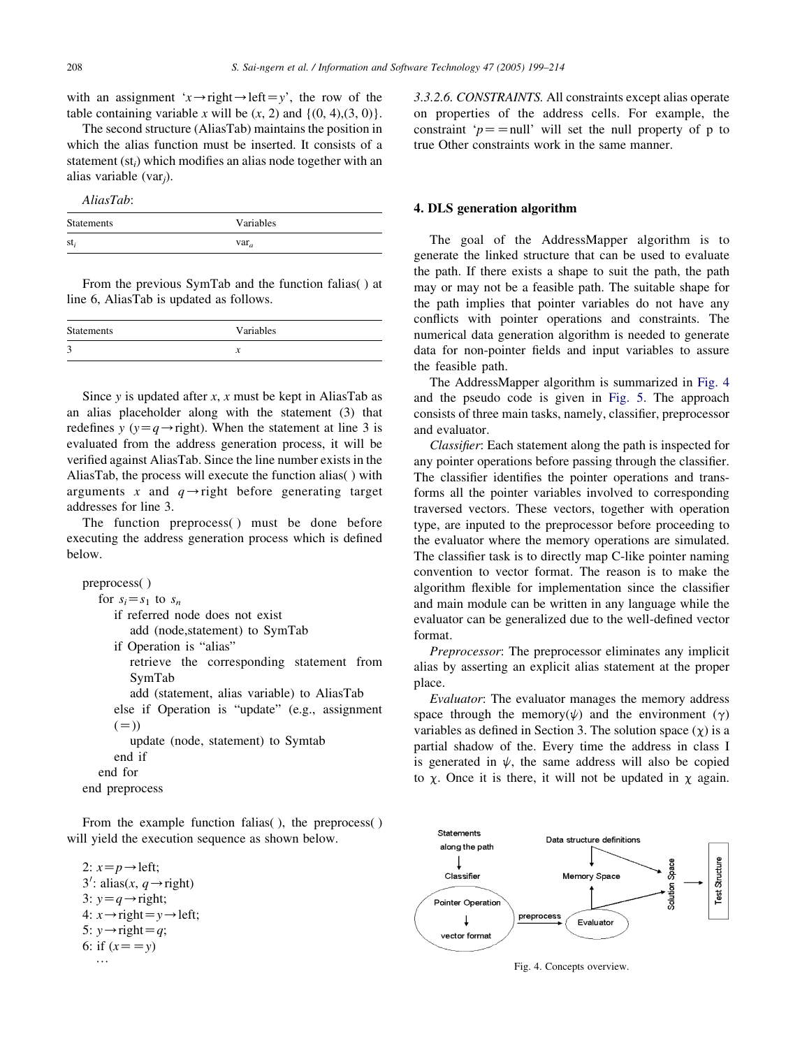with an assignment 'x $\rightarrow$ right $\rightarrow$ left=y', the row of the table containing variable x will be  $(x, 2)$  and  $\{(0, 4), (3, 0)\}.$ 

The second structure (AliasTab) maintains the position in which the alias function must be inserted. It consists of a statement  $(st<sub>i</sub>)$  which modifies an alias node together with an alias variable (var<sub>i</sub>).

AliasTab:

| <b>Statements</b> | Variables        |
|-------------------|------------------|
| st,               | $\text{var}_{a}$ |

From the previous SymTab and the function falias( ) at line 6, AliasTab is updated as follows.

| <b>Statements</b> | Variables |
|-------------------|-----------|
| 3                 | л         |

Since y is updated after x, x must be kept in AliasTab as an alias placeholder along with the statement (3) that redefines y ( $y = q \rightarrow$ right). When the statement at line 3 is evaluated from the address generation process, it will be verified against AliasTab. Since the line number exists in the AliasTab, the process will execute the function alias( ) with arguments x and  $q \rightarrow$  right before generating target addresses for line 3.

The function preprocess( ) must be done before executing the address generation process which is defined below.

```
preprocess( )
  for s_i = s_1 to s_nif referred node does not exist
        add (node,statement) to SymTab
     if Operation is "alias"
        retrieve the corresponding statement from
        SymTab
        add (statement, alias variable) to AliasTab
     else if Operation is "update" (e.g., assignment
     (=))update (node, statement) to Symtab
     end if
  end for
```
end preprocess

From the example function falias( ), the preprocess( ) will yield the execution sequence as shown below.

2:  $x=p\rightarrow$  left;  $3'$ : alias(x,  $q \rightarrow$ right) 3:  $y = q \rightarrow$  right; 4:  $x \rightarrow$  right =  $y \rightarrow$  left; 5:  $y \rightarrow$  right = q; 6: if  $(x = \sqrt{y})$  $\ddots$ 

3.3.2.6. CONSTRAINTS. All constraints except alias operate on properties of the address cells. For example, the constraint ' $p = \text{null}'$ ' will set the null property of p to true Other constraints work in the same manner.

## 4. DLS generation algorithm

The goal of the AddressMapper algorithm is to generate the linked structure that can be used to evaluate the path. If there exists a shape to suit the path, the path may or may not be a feasible path. The suitable shape for the path implies that pointer variables do not have any conflicts with pointer operations and constraints. The numerical data generation algorithm is needed to generate data for non-pointer fields and input variables to assure the feasible path.

The AddressMapper algorithm is summarized in Fig. 4 and the pseudo code is given in [Fig. 5](#page-10-0). The approach consists of three main tasks, namely, classifier, preprocessor and evaluator.

Classifier: Each statement along the path is inspected for any pointer operations before passing through the classifier. The classifier identifies the pointer operations and transforms all the pointer variables involved to corresponding traversed vectors. These vectors, together with operation type, are inputed to the preprocessor before proceeding to the evaluator where the memory operations are simulated. The classifier task is to directly map C-like pointer naming convention to vector format. The reason is to make the algorithm flexible for implementation since the classifier and main module can be written in any language while the evaluator can be generalized due to the well-defined vector format.

Preprocessor: The preprocessor eliminates any implicit alias by asserting an explicit alias statement at the proper place.

Evaluator: The evaluator manages the memory address space through the memory( $\psi$ ) and the environment ( $\gamma$ ) variables as defined in Section 3. The solution space  $(y)$  is a partial shadow of the. Every time the address in class I is generated in  $\psi$ , the same address will also be copied to  $\chi$ . Once it is there, it will not be updated in  $\chi$  again.



Fig. 4. Concepts overview.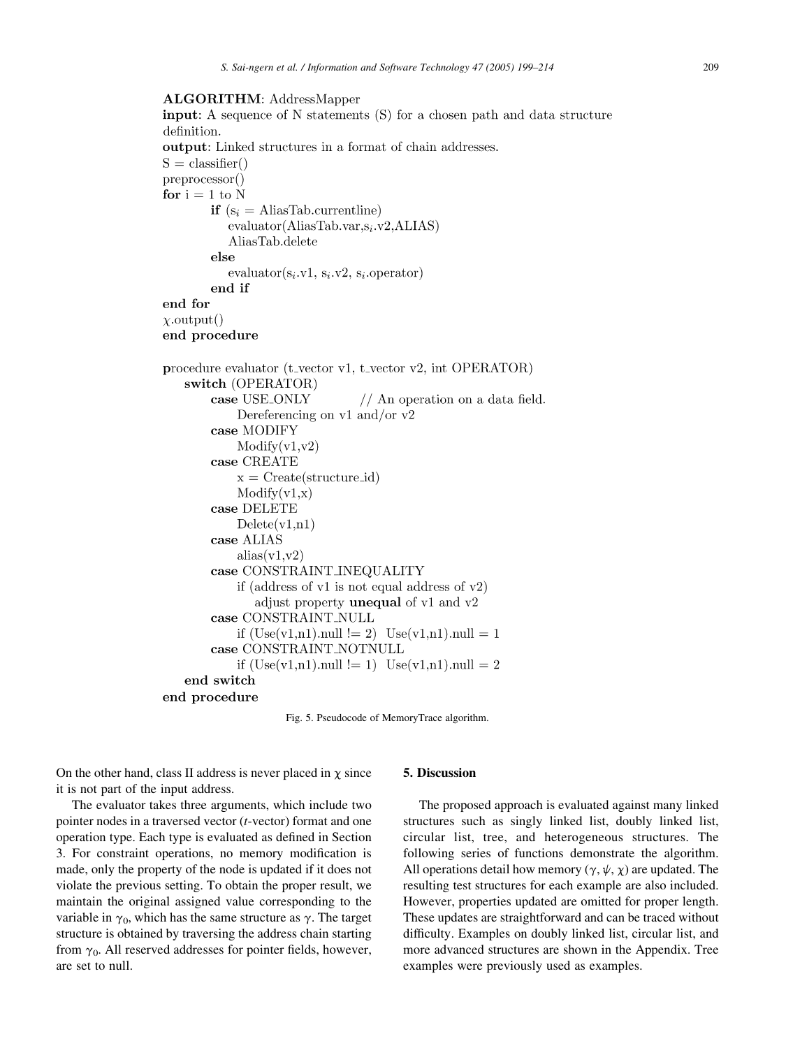```
ALGORITHM: AddressMapper
input: A sequence of N statements (S) for a chosen path and data structure
definition.
output: Linked structures in a format of chain addresses.
S = classifier()
preprocessor()for i = 1 to Nif (s_i = \text{AliasTab.currentline})evaluator(Alias Tab.var.s<sub>i</sub>.v2, ALLIAS)AliasTab.delete
       معام
          evaluator(s_i.v1, s_i.v2, s_i.operator)end if
end for
\chi.output()
end procedure
procedure evaluator (t_vector v1, t_vector v2, int OPERATOR)
   switch (OPERATOR)
                                // An operation on a data field.
       case USE_ONLY
            Dereferencing on v1 and/or v2case MODIFY
            \text{Modify}(v1,v2)case CREATE
            x = Create(structure_id)Modify(v1,x)case DELETE
            Delete(v1.n1)case ALIAS
            alias(v1,v2)case CONSTRAINT INEQUALITY
            if (address of v1 is not equal address of v2)
               adjust property unequal of v1 and v2
       case CONSTRAINT_NULL
            if (Use(v1,n1).null != 2) Use(v1,n1).null = 1case CONSTRAINT_NOTNULL
            if (Use(v1,n1).null != 1) Use(v1,n1).null = 2end switch
end procedure
```

```
Fig. 5. Pseudocode of MemoryTrace algorithm.
```
On the other hand, class II address is never placed in  $\chi$  since it is not part of the input address.

The evaluator takes three arguments, which include two pointer nodes in a traversed vector (t-vector) format and one operation type. Each type is evaluated as defined in Section 3. For constraint operations, no memory modification is made, only the property of the node is updated if it does not violate the previous setting. To obtain the proper result, we maintain the original assigned value corresponding to the variable in  $\gamma_0$ , which has the same structure as  $\gamma$ . The target structure is obtained by traversing the address chain starting from  $\gamma_0$ . All reserved addresses for pointer fields, however, are set to null.

## 5. Discussion

The proposed approach is evaluated against many linked structures such as singly linked list, doubly linked list, circular list, tree, and heterogeneous structures. The following series of functions demonstrate the algorithm. All operations detail how memory  $(\gamma, \psi, \chi)$  are updated. The resulting test structures for each example are also included. However, properties updated are omitted for proper length. These updates are straightforward and can be traced without difficulty. Examples on doubly linked list, circular list, and more advanced structures are shown in the Appendix. Tree examples were previously used as examples.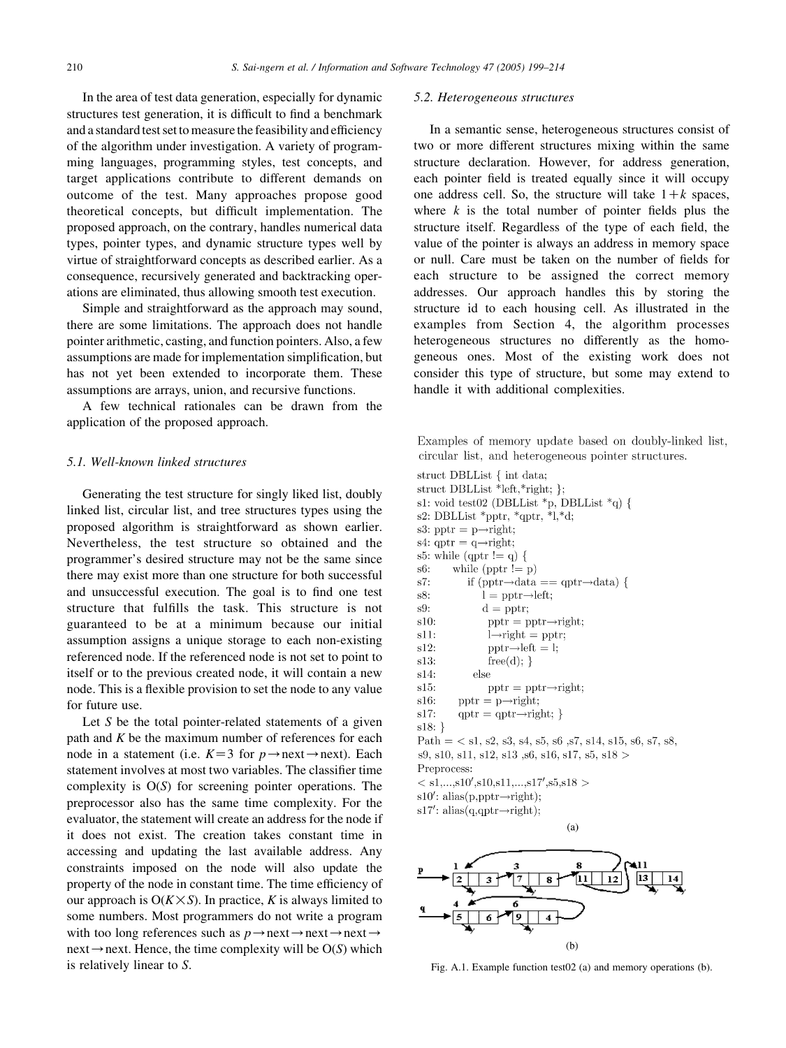<span id="page-11-0"></span>In the area of test data generation, especially for dynamic structures test generation, it is difficult to find a benchmark and a standard test set to measure the feasibility and efficiency of the algorithm under investigation. A variety of programming languages, programming styles, test concepts, and target applications contribute to different demands on outcome of the test. Many approaches propose good theoretical concepts, but difficult implementation. The proposed approach, on the contrary, handles numerical data types, pointer types, and dynamic structure types well by virtue of straightforward concepts as described earlier. As a consequence, recursively generated and backtracking operations are eliminated, thus allowing smooth test execution.

Simple and straightforward as the approach may sound, there are some limitations. The approach does not handle pointer arithmetic, casting, and function pointers. Also, a few assumptions are made for implementation simplification, but has not yet been extended to incorporate them. These assumptions are arrays, union, and recursive functions.

A few technical rationales can be drawn from the application of the proposed approach.

## 5.1. Well-known linked structures

Generating the test structure for singly liked list, doubly linked list, circular list, and tree structures types using the proposed algorithm is straightforward as shown earlier. Nevertheless, the test structure so obtained and the programmer's desired structure may not be the same since there may exist more than one structure for both successful and unsuccessful execution. The goal is to find one test structure that fulfills the task. This structure is not guaranteed to be at a minimum because our initial assumption assigns a unique storage to each non-existing referenced node. If the referenced node is not set to point to itself or to the previous created node, it will contain a new node. This is a flexible provision to set the node to any value for future use.

Let  $S$  be the total pointer-related statements of a given path and  $K$  be the maximum number of references for each node in a statement (i.e.  $K=3$  for  $p \rightarrow$ next $\rightarrow$ next). Each statement involves at most two variables. The classifier time complexity is O(S) for screening pointer operations. The preprocessor also has the same time complexity. For the evaluator, the statement will create an address for the node if it does not exist. The creation takes constant time in accessing and updating the last available address. Any constraints imposed on the node will also update the property of the node in constant time. The time efficiency of our approach is  $O(K \times S)$ . In practice, K is always limited to some numbers. Most programmers do not write a program with too long references such as  $p \rightarrow$ next $\rightarrow$ next $\rightarrow$ next $\rightarrow$ next $\rightarrow$  next. Hence, the time complexity will be O(S) which is relatively linear to S.

#### 5.2. Heterogeneous structures

In a semantic sense, heterogeneous structures consist of two or more different structures mixing within the same structure declaration. However, for address generation, each pointer field is treated equally since it will occupy one address cell. So, the structure will take  $1+k$  spaces, where  $k$  is the total number of pointer fields plus the structure itself. Regardless of the type of each field, the value of the pointer is always an address in memory space or null. Care must be taken on the number of fields for each structure to be assigned the correct memory addresses. Our approach handles this by storing the structure id to each housing cell. As illustrated in the examples from Section 4, the algorithm processes heterogeneous structures no differently as the homogeneous ones. Most of the existing work does not consider this type of structure, but some may extend to handle it with additional complexities.

Examples of memory update based on doubly-linked list. circular list, and heterogeneous pointer structures.

struct DBLList { int data; struct DBLList \*left, \*right;  $\}$ ; s1: void test02 (DBLList \*p, DBLList \*q) { s2: DBLList \*pptr, \*qptr, \*l,\*d; s3: pptr =  $p \rightarrow right;$ s4:  $qptr = q \rightarrow right;$ s5: while (qptr != q) {  $s6$ while (pptr  $!=$  p)  $s7$ if (pptr $\rightarrow$ data == qptr $\rightarrow$ data) {  $1 =$  pptr $\rightarrow$ left;  $s8$  $Q<sub>q</sub>$  $d =$  pptr:  $s10:$  $\text{ppt} = \text{ppt} \rightarrow \text{right};$  $s11$ :  $l\rightarrow$ right = pptr;  $s12:$  $pptr\rightarrow left = 1;$ free(d);  $\}$  $s13:$ s14:  $_{\text{else}}$  $s15:$  $ppt = pptr \rightarrow right;$  $s16$ :  $ppt = p \rightarrow right;$  $s17$ :  $qptr = qptr \rightarrow right;$  $s18:$ } Path =  $\langle$  s1, s2, s3, s4, s5, s6, s7, s14, s15, s6, s7, s8, s9, s10, s11, s12, s13, s6, s16, s17, s5, s18 > Preprocess:  $<$  s1,...,s10',s10,s11,...,s17',s5,s18 >  $s10'$ : alias(p,pptr $\rightarrow$ right);  $s17'$ : alias(q,qptr $\rightarrow$ right);  $(a)$ 



Fig. A.1. Example function test02 (a) and memory operations (b).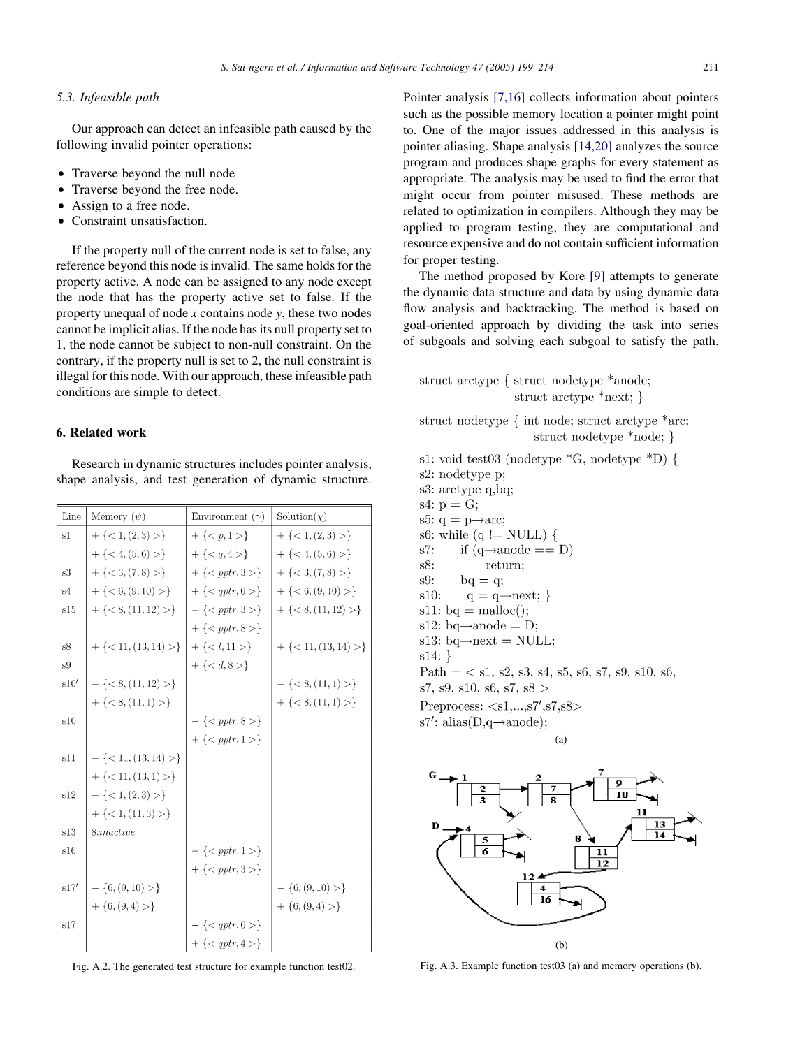# 5.3. Infeasible path

Our approach can detect an infeasible path caused by the following invalid pointer operations:

- Traverse beyond the null node
- Traverse beyond the free node.
- Assign to a free node.
- † Constraint unsatisfaction.

If the property null of the current node is set to false, any reference beyond this node is invalid. The same holds for the property active. A node can be assigned to any node except the node that has the property active set to false. If the property unequal of node  $x$  contains node  $y$ , these two nodes cannot be implicit alias. If the node has its null property set to 1, the node cannot be subject to non-null constraint. On the contrary, if the property null is set to 2, the null constraint is illegal for this node. With our approach, these infeasible path conditions are simple to detect.

# 6. Related work

Research in dynamic structures includes pointer analysis, shape analysis, and test generation of dynamic structure.

| Line        | Memory $(\psi)$            | Environment $(\gamma)$ | Solution $(\chi)$         |
|-------------|----------------------------|------------------------|---------------------------|
| s1          | $+ \{<1, (2, 3)>\}$        | $+ \{  \}$             | $+ \{<1,(2,3)>\}$         |
|             | $+ \{ <4, (5, 6) > \}$     | $+ \{  \}$             | $+ \{ <4, (5, 6) > \}$    |
| $_{\rm s3}$ | $+ \{<3, (7, 8)>\}$        | $+ \{  \}$             | $+ \{<3, (7, 8)>\}$       |
| s4          | $+ \{ < 6, (9, 10) > \}$   | $+ \{ < qptr, 6 > \}$  | $+ \{ < 6, (9, 10) > \}$  |
| s15         | $+ \{ < 8, (11, 12) > \}$  | $- \{  \}$             | $+ \{ < 8, (11, 12) > \}$ |
|             |                            | $+ \{  \}$             |                           |
| s8          | $+ \{<11, (13, 14)>\}\$    | $+ \{\}$               | $+ \{< 11, (13, 14)>\}$   |
| s9          |                            | $+ \{  \}$             |                           |
| s10'        | $-\{<8,(11,12)>\}$         |                        | $- \{ < 8, (11, 1) > \}$  |
|             | $+ \{ < 8, (11, 1) > \}$   |                        | $+ \{ < 8, (11, 1) > \}$  |
| s10         |                            | $- \{  \}$             |                           |
|             |                            | $+ \{  \}$             |                           |
| s11         | $- \{ < 11, (13, 14) > \}$ |                        |                           |
|             | $+ \{<11,(13,1)>\}$        |                        |                           |
| s12         | $- \{ <1, (2,3) > \}$      |                        |                           |
|             | $+ \{<1,(11,3)>\}$         |                        |                           |
| s13         | 8.inactive                 |                        |                           |
| s16         |                            | $- \{  \}$             |                           |
|             |                            | $+ \{  \}$             |                           |
| s17'        | $- \{6, (9, 10) > \}$      |                        | $- \{6, (9, 10) > \}$     |
|             | $+ \{6, (9, 4) > \}$       |                        | $+ \{6, (9, 4) > \}$      |
| s17         |                            | $- \{ < qptr, 6 > \}$  |                           |
|             |                            | $+ \{ < qptr, 4 > \}$  |                           |

Pointer analysis [\[7,16\]](#page-14-0) collects information about pointers such as the possible memory location a pointer might point to. One of the major issues addressed in this analysis is pointer aliasing. Shape analysis [\[14,20\]](#page-15-0) analyzes the source program and produces shape graphs for every statement as appropriate. The analysis may be used to find the error that might occur from pointer misused. These methods are related to optimization in compilers. Although they may be applied to program testing, they are computational and resource expensive and do not contain sufficient information for proper testing.

The method proposed by Kore [\[9\]](#page-15-0) attempts to generate the dynamic data structure and data by using dynamic data flow analysis and backtracking. The method is based on goal-oriented approach by dividing the task into series of subgoals and solving each subgoal to satisfy the path.

# struct arctype  $\{$  struct nodetype \*anode; struct arctype  $*$ next; }

struct nodetype  $\{$  int node; struct arctype  $*$ arc; struct nodetype  $*$ node; }

s1: void test03 (nodetype  $\mathrm{^*G}$ , nodetype  $\mathrm{^*D}$ ) { s2: nodetype p: s3: arctype q,bq;  $s4: p = G;$ s5:  $q = p \rightarrow arc$ ; s6: while  $(q \equiv \text{NULL})$  { if  $(q \rightarrow$ anode == D)  $s7$ : s8: return;  $s9:$  $bq = q;$  $s10:$  $q = q \rightarrow next;$ s11:  $bq = \text{malloc}($ ; s12: bq $\rightarrow$ anode = D; s13: bq $\rightarrow$ next = NULL;  $s14:$ Path =  $\langle$  s1, s2, s3, s4, s5, s6, s7, s9, s10, s6,  $s7, s9, s10, s6, s7, s8 >$ Preprocess:  $\langle s1, \ldots, s7', s7, s8 \rangle$  $s7'$ : alias $(D,q \rightarrow$ anode);





Fig. A.2. The generated test structure for example function test02. Fig. A.3. Example function test03 (a) and memory operations (b).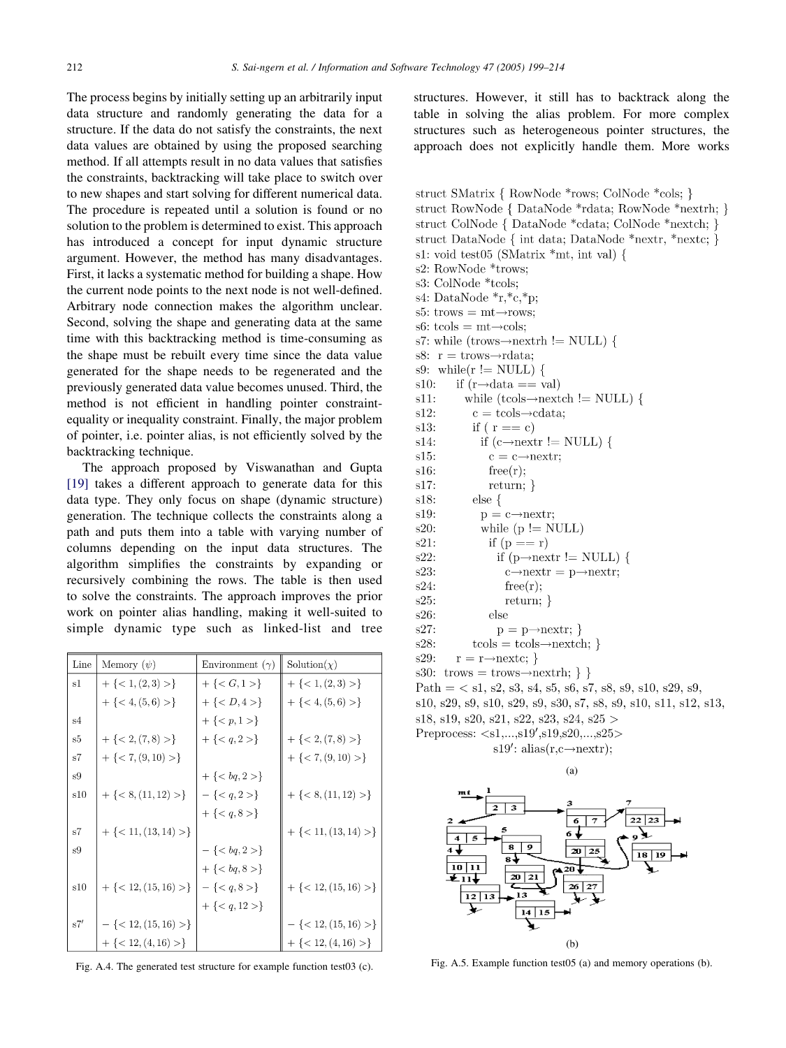The process begins by initially setting up an arbitrarily input data structure and randomly generating the data for a structure. If the data do not satisfy the constraints, the next data values are obtained by using the proposed searching method. If all attempts result in no data values that satisfies the constraints, backtracking will take place to switch over to new shapes and start solving for different numerical data. The procedure is repeated until a solution is found or no solution to the problem is determined to exist. This approach has introduced a concept for input dynamic structure argument. However, the method has many disadvantages. First, it lacks a systematic method for building a shape. How the current node points to the next node is not well-defined. Arbitrary node connection makes the algorithm unclear. Second, solving the shape and generating data at the same time with this backtracking method is time-consuming as the shape must be rebuilt every time since the data value generated for the shape needs to be regenerated and the previously generated data value becomes unused. Third, the method is not efficient in handling pointer constraintequality or inequality constraint. Finally, the major problem of pointer, i.e. pointer alias, is not efficiently solved by the backtracking technique.

The approach proposed by Viswanathan and Gupta [\[19\]](#page-15-0) takes a different approach to generate data for this data type. They only focus on shape (dynamic structure) generation. The technique collects the constraints along a path and puts them into a table with varying number of columns depending on the input data structures. The algorithm simplifies the constraints by expanding or recursively combining the rows. The table is then used to solve the constraints. The approach improves the prior work on pointer alias handling, making it well-suited to simple dynamic type such as linked-list and tree

| Line | Memory $(\psi)$           | Environment $(\gamma)$ | Solution $(\chi)$         |
|------|---------------------------|------------------------|---------------------------|
| s1   | $+ \{<1,(2,3)>\}$         | $+ \{  \}$             | $+ \{<1,(2,3)>\}$         |
|      | $+ \{ <4, (5, 6) > \}$    | $+$ {< $D, 4 >$ }      | $+ \{ <4, (5, 6) > \}$    |
| s4   |                           | $+ \{  \}$             |                           |
| s5   | $+ \{<2, (7, 8)>\}$       | $+ \{  \}$             | $+ \{<2, (7, 8)>\}$       |
| s7   | $+ \{ < 7, (9, 10) > \}$  |                        | $+ \{ < 7, (9, 10) > \}$  |
| s9   |                           | $+ \{ q, 2> \}$        |                           |
| s10  | $+ \{ < 8, (11, 12) > \}$ | $-\{\}$                | $+ \{ < 8, (11, 12) > \}$ |
|      |                           | $+ \{  \}$             |                           |
| s7   | $+ \{< 11, (13, 14)>\}$   |                        | $+ \{<11, (13, 14)>\}$    |
| s9   |                           | $- \{ q, 2> \}$        |                           |
|      |                           | $+ \{ q, 8> \}$        |                           |
| s10  | $+ \{< 12, (15, 16)>\}$   | $-\{\}$                | $+ \{<12, (15, 16)>\}$    |
|      |                           | $+ \{ \}$              |                           |
| s7'  | $- \{< 12, (15, 16)>\}$   |                        | $- \{< 12, (15, 16)>\}$   |
|      | $+ \{< 12, (4, 16) > \}$  |                        | $+ \{<12, (4, 16)>\}$     |

Fig. A.4. The generated test structure for example function test03 (c). Fig. A.5. Example function test05 (a) and memory operations (b).

structures. However, it still has to backtrack along the table in solving the alias problem. For more complex structures such as heterogeneous pointer structures, the approach does not explicitly handle them. More works

```
struct SMatrix { RowNode *rows; ColNode *cols; }
struct RowNode { DataNode *rdata; RowNode *nextrh; }
struct ColNode { DataNode *cdata; ColNode *nextch; }
struct DataNode { int data; DataNode *nextr, *nextc; }
s1: void test05 (SMatrix *mt, int val) {
s2: RowNode *trows;
s3: ColNode *tcols;
s4: DataNode r, c, p;
s5: trows = mt \rightarrow rows;
s6: tcols = mt \rightarrow \text{cols};
s7: while (trows\rightarrownextrh != NULL) {
s8: r = trows\rightarrowrdata;
s9: while(r := NULL) {
s10:if (r \rightarrow data == val)while (tcols\rightarrownextch != NULL) {
s11:
s12:c = t \text{cols} \rightarrow c \text{data};s13:if ( r == c)
s14:
              if (c\rightarrownextr != NULL) {
s15:
                c = c \rightarrownextr;
s16free(r);s17:
                return; \}s18elses19:p = c \rightarrownextr;
s20:
              while (p \equiv \text{NULL})
s21:if (p == r)s22:
                  if (p\rightarrownextr != NULL) {
s23:
                    c \rightarrownextr = p\rightarrownextr;
s24:
                    free(r);s25:
                    return; \}s26:else
s27:p = p \rightarrownextr; }
s28t \text{cols} = \text{t} \text{cols} \rightarrow \text{nextch};s29:
         r = r \rightarrownextc; }
s30: trows = trows\rightarrownextrh; } }
Path = \langle s1, s2, s3, s4, s5, s6, s7, s8, s9, s10, s29, s9,
s10, s29, s9, s10, s29, s9, s30, s7, s8, s9, s10, s11, s12, s13,
s18, s19, s20, s21, s22, s23, s24, s25Preprocess: <s1,...,s19',s19,s20,...,s25>
```

```
s19': alias(r, c \rightarrownextr);
```


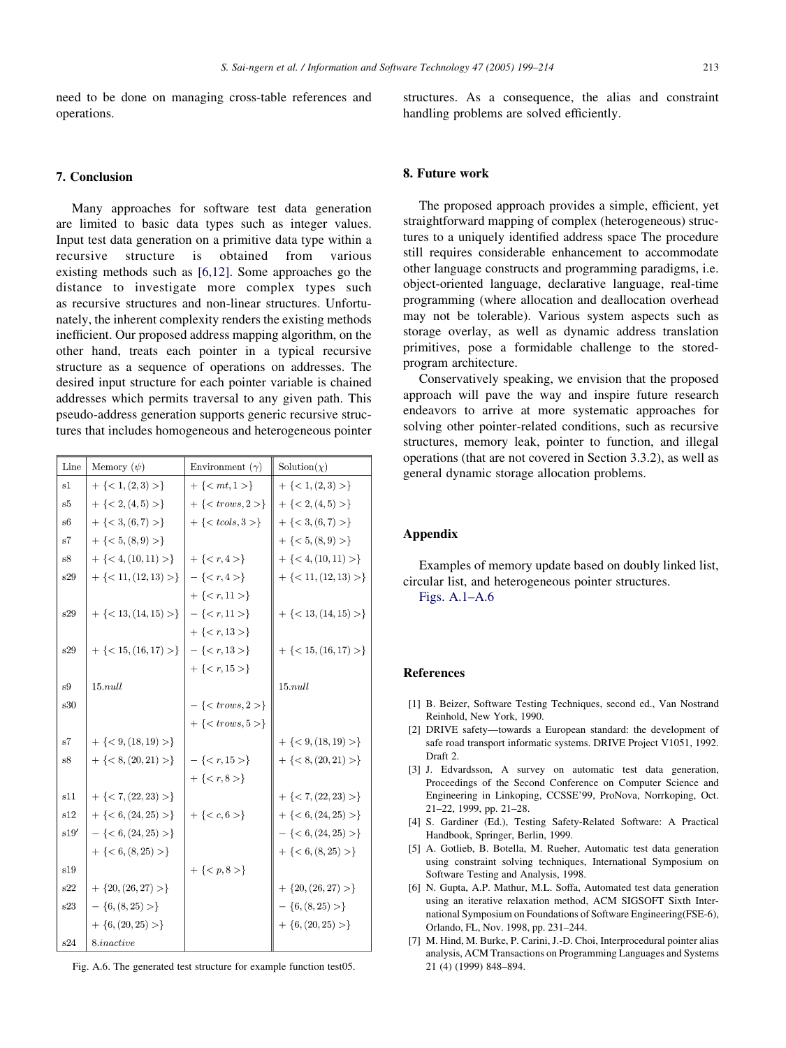<span id="page-14-0"></span>need to be done on managing cross-table references and operations.

structures. As a consequence, the alias and constraint handling problems are solved efficiently.

# 7. Conclusion

Many approaches for software test data generation are limited to basic data types such as integer values. Input test data generation on a primitive data type within a recursive structure is obtained from various existing methods such as [6,12]. Some approaches go the distance to investigate more complex types such as recursive structures and non-linear structures. Unfortunately, the inherent complexity renders the existing methods inefficient. Our proposed address mapping algorithm, on the other hand, treats each pointer in a typical recursive structure as a sequence of operations on addresses. The desired input structure for each pointer variable is chained addresses which permits traversal to any given path. This pseudo-address generation supports generic recursive structures that includes homogeneous and heterogeneous pointer

| Line        | Memory $(\psi)$           | Environment $(\gamma)$       | Solution( $\chi$ )        |
|-------------|---------------------------|------------------------------|---------------------------|
| $_{\rm s1}$ | $+ \{<1, (2,3)>\}$        | $+ \{ < mt, 1 > \}$          | $+ \{<1,(2,3)>\}$         |
| s5          | $+ \{<2,(4,5)>\}$         | $+ \{<\mathit{trows},2>\}$   | $+ \{<2,(4,5)>\}$         |
| s6          | $+ \{<3, (6, 7)>\}$       | $+ \{  \}$                   | $+ \{<3, (6, 7)>\}$       |
| s7          | $+ \{ <5, (8, 9) > \}$    |                              | $+ \{ <5, (8, 9) > \}$    |
| s8          | $+ \{<4,(10,11)>\}$       | $+ \{  \}$                   | $+ \{<4,(10,11)>\}$       |
| s29         | $+ \{<11, (12, 13)>\}$    | $- \{ < r, 4 > \}$           | $+ \{<11, (12, 13)>\}$    |
|             |                           | $+ \{ < r, 11 > \}$          |                           |
| s29         | $+ \{<13,(14,15)>\}$      | $-$ { $<$ r, 11 $>$ }        | $+ \{<13,(14,15)>\}$      |
|             |                           | $+ \{ < r, 13 > \}$          |                           |
| s29         | $+ \{<15, (16, 17)>\}$    | $- \{ < r, 13 > \}$          | $+ \{< 15, (16, 17) > \}$ |
|             |                           | $+ \{ \}$                    |                           |
| s9          | 15. null                  |                              | 15. null                  |
| s30         |                           | $-$ {< $\langle$ trows, 2 >} |                           |
|             |                           | $+$ $\{<\mathit{trows},5>\}$ |                           |
| s7          | $+ \{< 9, (18, 19) > \}$  |                              | $+ \{< 9, (18, 19) > \}$  |
| s8          | $+ \{ < 8, (20, 21) > \}$ | $- \{ < r, 15 > \}$          | $+ \{ < 8, (20, 21) > \}$ |
|             |                           | $+ \{  \}$                   |                           |
| s11         | $+ \{< 7, (22, 23) > \}$  |                              | $+ \{< 7, (22, 23) > \}$  |
| s12         | $+ \{ < 6, (24, 25) > \}$ | $+ \{  \}$                   | $+ \{ <6, (24, 25) > \}$  |
| s19'        | $- \{ < 6, (24, 25) > \}$ |                              | $- \{ < 6, (24, 25) > \}$ |
|             | $+ \{ < 6, (8, 25) > \}$  |                              | $+ \{ <6, (8, 25) > \}$   |
| s19         |                           | $+ \{  \}$                   |                           |
| s22         | $+ \{20, (26, 27) > \}$   |                              | $+ \{20, (26, 27) >\}$    |
| s23         | $- \{6, (8, 25) > \}$     |                              | $- \{6, (8, 25) >\}$      |
|             | $+ \{6, (20, 25) > \}$    |                              | $+ \{6, (20, 25) > \}$    |
| s24         | 8.inactive                |                              |                           |

Fig. A.6. The generated test structure for example function test05. 21 (4) (1999) 848–894.

#### 8. Future work

The proposed approach provides a simple, efficient, yet straightforward mapping of complex (heterogeneous) structures to a uniquely identified address space The procedure still requires considerable enhancement to accommodate other language constructs and programming paradigms, i.e. object-oriented language, declarative language, real-time programming (where allocation and deallocation overhead may not be tolerable). Various system aspects such as storage overlay, as well as dynamic address translation primitives, pose a formidable challenge to the storedprogram architecture.

Conservatively speaking, we envision that the proposed approach will pave the way and inspire future research endeavors to arrive at more systematic approaches for solving other pointer-related conditions, such as recursive structures, memory leak, pointer to function, and illegal operations (that are not covered in Section 3.3.2), as well as general dynamic storage allocation problems.

# Appendix

Examples of memory update based on doubly linked list, circular list, and heterogeneous pointer structures. [Figs. A.1–A.6](#page-11-0)

#### References

- [1] B. Beizer, Software Testing Techniques, second ed., Van Nostrand Reinhold, New York, 1990.
- [2] DRIVE safety—towards a European standard: the development of safe road transport informatic systems. DRIVE Project V1051, 1992. Draft 2.
- [3] J. Edvardsson, A survey on automatic test data generation, Proceedings of the Second Conference on Computer Science and Engineering in Linkoping, CCSSE'99, ProNova, Norrkoping, Oct. 21–22, 1999, pp. 21–28.
- [4] S. Gardiner (Ed.), Testing Safety-Related Software: A Practical Handbook, Springer, Berlin, 1999.
- [5] A. Gotlieb, B. Botella, M. Rueher, Automatic test data generation using constraint solving techniques, International Symposium on Software Testing and Analysis, 1998.
- [6] N. Gupta, A.P. Mathur, M.L. Soffa, Automated test data generation using an iterative relaxation method, ACM SIGSOFT Sixth International Symposium on Foundations of Software Engineering(FSE-6), Orlando, FL, Nov. 1998, pp. 231–244.
- [7] M. Hind, M. Burke, P. Carini, J.-D. Choi, Interprocedural pointer alias analysis, ACM Transactions on Programming Languages and Systems